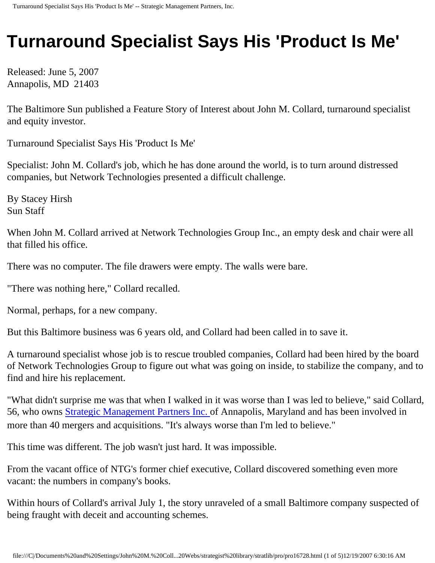## **Turnaround Specialist Says His 'Product Is Me'**

Released: June 5, 2007 Annapolis, MD 21403

The Baltimore Sun published a Feature Story of Interest about John M. Collard, turnaround specialist and equity investor.

Turnaround Specialist Says His 'Product Is Me'

Specialist: John M. Collard's job, which he has done around the world, is to turn around distressed companies, but Network Technologies presented a difficult challenge.

By Stacey Hirsh Sun Staff

When John M. Collard arrived at Network Technologies Group Inc., an empty desk and chair were all that filled his office.

There was no computer. The file drawers were empty. The walls were bare.

"There was nothing here," Collard recalled.

Normal, perhaps, for a new company.

But this Baltimore business was 6 years old, and Collard had been called in to save it.

A turnaround specialist whose job is to rescue troubled companies, Collard had been hired by the board of Network Technologies Group to figure out what was going on inside, to stabilize the company, and to find and hire his replacement.

"What didn't surprise me was that when I walked in it was worse than I was led to believe," said Collard, 56, who owns [Strategic Management Partners Inc.](http://www.strategicmgtpartners.com/) of Annapolis, Maryland and has been involved in more than 40 mergers and acquisitions. "It's always worse than I'm led to believe."

This time was different. The job wasn't just hard. It was impossible.

From the vacant office of NTG's former chief executive, Collard discovered something even more vacant: the numbers in company's books.

Within hours of Collard's arrival July 1, the story unraveled of a small Baltimore company suspected of being fraught with deceit and accounting schemes.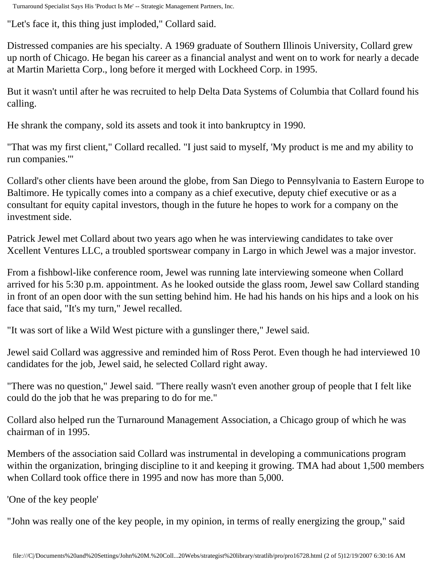Turnaround Specialist Says His 'Product Is Me' -- Strategic Management Partners, Inc.

"Let's face it, this thing just imploded," Collard said.

Distressed companies are his specialty. A 1969 graduate of Southern Illinois University, Collard grew up north of Chicago. He began his career as a financial analyst and went on to work for nearly a decade at Martin Marietta Corp., long before it merged with Lockheed Corp. in 1995.

But it wasn't until after he was recruited to help Delta Data Systems of Columbia that Collard found his calling.

He shrank the company, sold its assets and took it into bankruptcy in 1990.

"That was my first client," Collard recalled. "I just said to myself, 'My product is me and my ability to run companies.'"

Collard's other clients have been around the globe, from San Diego to Pennsylvania to Eastern Europe to Baltimore. He typically comes into a company as a chief executive, deputy chief executive or as a consultant for equity capital investors, though in the future he hopes to work for a company on the investment side.

Patrick Jewel met Collard about two years ago when he was interviewing candidates to take over Xcellent Ventures LLC, a troubled sportswear company in Largo in which Jewel was a major investor.

From a fishbowl-like conference room, Jewel was running late interviewing someone when Collard arrived for his 5:30 p.m. appointment. As he looked outside the glass room, Jewel saw Collard standing in front of an open door with the sun setting behind him. He had his hands on his hips and a look on his face that said, "It's my turn," Jewel recalled.

"It was sort of like a Wild West picture with a gunslinger there," Jewel said.

Jewel said Collard was aggressive and reminded him of Ross Perot. Even though he had interviewed 10 candidates for the job, Jewel said, he selected Collard right away.

"There was no question," Jewel said. "There really wasn't even another group of people that I felt like could do the job that he was preparing to do for me."

Collard also helped run the Turnaround Management Association, a Chicago group of which he was chairman of in 1995.

Members of the association said Collard was instrumental in developing a communications program within the organization, bringing discipline to it and keeping it growing. TMA had about 1,500 members when Collard took office there in 1995 and now has more than 5,000.

'One of the key people'

"John was really one of the key people, in my opinion, in terms of really energizing the group," said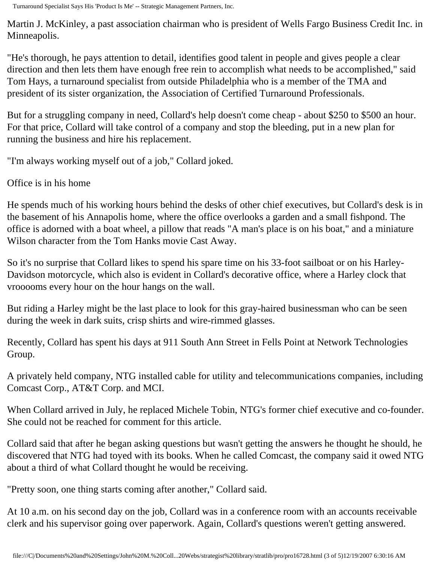Turnaround Specialist Says His 'Product Is Me' -- Strategic Management Partners, Inc.

Martin J. McKinley, a past association chairman who is president of Wells Fargo Business Credit Inc. in Minneapolis.

"He's thorough, he pays attention to detail, identifies good talent in people and gives people a clear direction and then lets them have enough free rein to accomplish what needs to be accomplished," said Tom Hays, a turnaround specialist from outside Philadelphia who is a member of the TMA and president of its sister organization, the Association of Certified Turnaround Professionals.

But for a struggling company in need, Collard's help doesn't come cheap - about \$250 to \$500 an hour. For that price, Collard will take control of a company and stop the bleeding, put in a new plan for running the business and hire his replacement.

"I'm always working myself out of a job," Collard joked.

Office is in his home

He spends much of his working hours behind the desks of other chief executives, but Collard's desk is in the basement of his Annapolis home, where the office overlooks a garden and a small fishpond. The office is adorned with a boat wheel, a pillow that reads "A man's place is on his boat," and a miniature Wilson character from the Tom Hanks movie Cast Away.

So it's no surprise that Collard likes to spend his spare time on his 33-foot sailboat or on his Harley-Davidson motorcycle, which also is evident in Collard's decorative office, where a Harley clock that vrooooms every hour on the hour hangs on the wall.

But riding a Harley might be the last place to look for this gray-haired businessman who can be seen during the week in dark suits, crisp shirts and wire-rimmed glasses.

Recently, Collard has spent his days at 911 South Ann Street in Fells Point at Network Technologies Group.

A privately held company, NTG installed cable for utility and telecommunications companies, including Comcast Corp., AT&T Corp. and MCI.

When Collard arrived in July, he replaced Michele Tobin, NTG's former chief executive and co-founder. She could not be reached for comment for this article.

Collard said that after he began asking questions but wasn't getting the answers he thought he should, he discovered that NTG had toyed with its books. When he called Comcast, the company said it owed NTG about a third of what Collard thought he would be receiving.

"Pretty soon, one thing starts coming after another," Collard said.

At 10 a.m. on his second day on the job, Collard was in a conference room with an accounts receivable clerk and his supervisor going over paperwork. Again, Collard's questions weren't getting answered.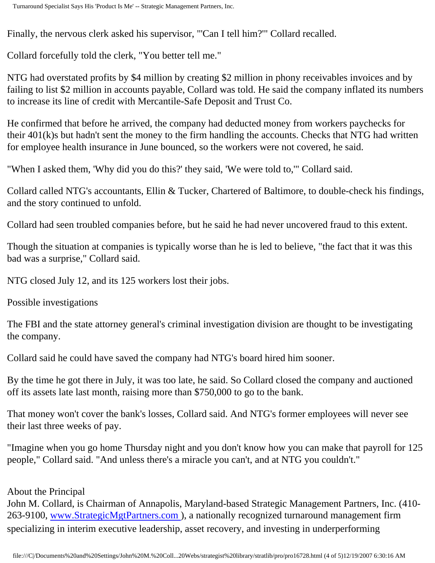Finally, the nervous clerk asked his supervisor, "'Can I tell him?'" Collard recalled.

Collard forcefully told the clerk, "You better tell me."

NTG had overstated profits by \$4 million by creating \$2 million in phony receivables invoices and by failing to list \$2 million in accounts payable, Collard was told. He said the company inflated its numbers to increase its line of credit with Mercantile-Safe Deposit and Trust Co.

He confirmed that before he arrived, the company had deducted money from workers paychecks for their 401(k)s but hadn't sent the money to the firm handling the accounts. Checks that NTG had written for employee health insurance in June bounced, so the workers were not covered, he said.

"When I asked them, 'Why did you do this?' they said, 'We were told to,'" Collard said.

Collard called NTG's accountants, Ellin & Tucker, Chartered of Baltimore, to double-check his findings, and the story continued to unfold.

Collard had seen troubled companies before, but he said he had never uncovered fraud to this extent.

Though the situation at companies is typically worse than he is led to believe, "the fact that it was this bad was a surprise," Collard said.

NTG closed July 12, and its 125 workers lost their jobs.

Possible investigations

The FBI and the state attorney general's criminal investigation division are thought to be investigating the company.

Collard said he could have saved the company had NTG's board hired him sooner.

By the time he got there in July, it was too late, he said. So Collard closed the company and auctioned off its assets late last month, raising more than \$750,000 to go to the bank.

That money won't cover the bank's losses, Collard said. And NTG's former employees will never see their last three weeks of pay.

"Imagine when you go home Thursday night and you don't know how you can make that payroll for 125 people," Collard said. "And unless there's a miracle you can't, and at NTG you couldn't."

## About the Principal

John M. Collard, is Chairman of Annapolis, Maryland-based Strategic Management Partners, Inc. (410- 263-9100, [www.StrategicMgtPartners.com](http://www.strategicmgtpartners.com/) ), a nationally recognized turnaround management firm specializing in interim executive leadership, asset recovery, and investing in underperforming